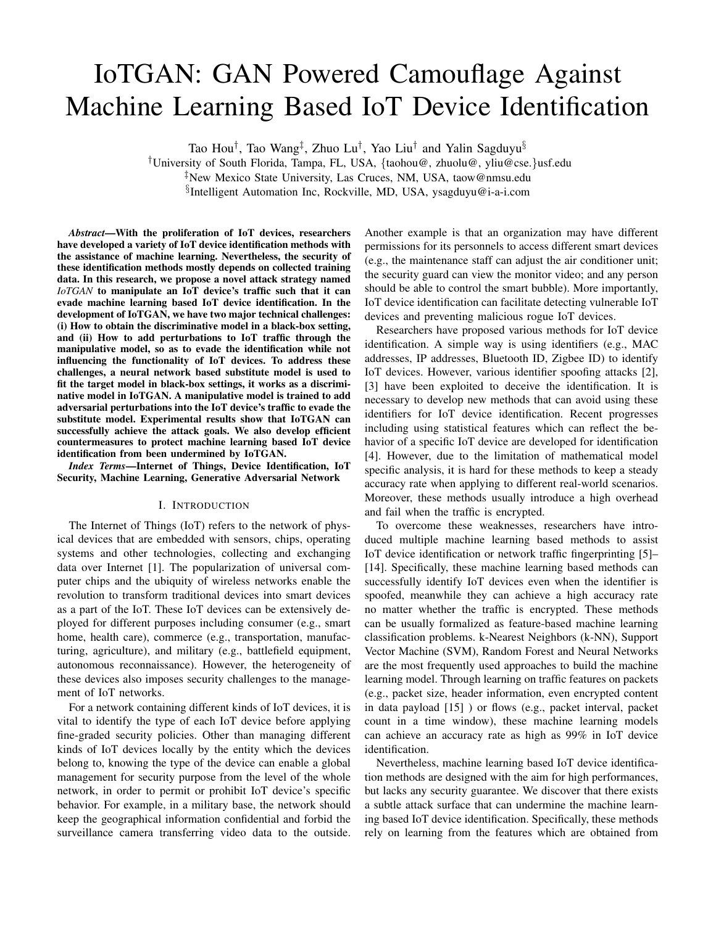# IoTGAN: GAN Powered Camouflage Against Machine Learning Based IoT Device Identification

Tao Hou*†*, Tao Wang*‡*, Zhuo Lu*†*, Yao Liu*†* and Yalin Sagduyu*§*

*†*University of South Florida, Tampa, FL, USA, *{*taohou@, zhuolu@, yliu@cse.*}*usf.edu

*§*Intelligent Automation Inc, Rockville, MD, USA, ysagduyu@i-a-i.com

*Abstract*—With the proliferation of IoT devices, researchers have developed a variety of IoT device identification methods with the assistance of machine learning. Nevertheless, the security of these identification methods mostly depends on collected training data. In this research, we propose a novel attack strategy named *IoTGAN* to manipulate an IoT device's traffic such that it can evade machine learning based IoT device identification. In the development of IoTGAN, we have two major technical challenges: (i) How to obtain the discriminative model in a black-box setting, and (ii) How to add perturbations to IoT traffic through the manipulative model, so as to evade the identification while not influencing the functionality of IoT devices. To address these challenges, a neural network based substitute model is used to fit the target model in black-box settings, it works as a discriminative model in IoTGAN. A manipulative model is trained to add adversarial perturbations into the IoT device's traffic to evade the substitute model. Experimental results show that IoTGAN can successfully achieve the attack goals. We also develop efficient countermeasures to protect machine learning based IoT device identification from been undermined by IoTGAN.

*Index Terms*—Internet of Things, Device Identification, IoT Security, Machine Learning, Generative Adversarial Network

## I. INTRODUCTION

The Internet of Things (IoT) refers to the network of physical devices that are embedded with sensors, chips, operating systems and other technologies, collecting and exchanging data over Internet [1]. The popularization of universal computer chips and the ubiquity of wireless networks enable the revolution to transform traditional devices into smart devices as a part of the IoT. These IoT devices can be extensively deployed for different purposes including consumer (e.g., smart home, health care), commerce (e.g., transportation, manufacturing, agriculture), and military (e.g., battlefield equipment, autonomous reconnaissance). However, the heterogeneity of these devices also imposes security challenges to the management of IoT networks.

For a network containing different kinds of IoT devices, it is vital to identify the type of each IoT device before applying fine-graded security policies. Other than managing different kinds of IoT devices locally by the entity which the devices belong to, knowing the type of the device can enable a global management for security purpose from the level of the whole network, in order to permit or prohibit IoT device's specific behavior. For example, in a military base, the network should keep the geographical information confidential and forbid the surveillance camera transferring video data to the outside. Another example is that an organization may have different permissions for its personnels to access different smart devices (e.g., the maintenance staff can adjust the air conditioner unit; the security guard can view the monitor video; and any person should be able to control the smart bubble). More importantly, IoT device identification can facilitate detecting vulnerable IoT devices and preventing malicious rogue IoT devices.

Researchers have proposed various methods for IoT device identification. A simple way is using identifiers (e.g., MAC addresses, IP addresses, Bluetooth ID, Zigbee ID) to identify IoT devices. However, various identifier spoofing attacks [2], [3] have been exploited to deceive the identification. It is necessary to develop new methods that can avoid using these identifiers for IoT device identification. Recent progresses including using statistical features which can reflect the behavior of a specific IoT device are developed for identification [4]. However, due to the limitation of mathematical model specific analysis, it is hard for these methods to keep a steady accuracy rate when applying to different real-world scenarios. Moreover, these methods usually introduce a high overhead and fail when the traffic is encrypted.

To overcome these weaknesses, researchers have introduced multiple machine learning based methods to assist IoT device identification or network traffic fingerprinting [5]– [14]. Specifically, these machine learning based methods can successfully identify IoT devices even when the identifier is spoofed, meanwhile they can achieve a high accuracy rate no matter whether the traffic is encrypted. These methods can be usually formalized as feature-based machine learning classification problems. k-Nearest Neighbors (k-NN), Support Vector Machine (SVM), Random Forest and Neural Networks are the most frequently used approaches to build the machine learning model. Through learning on traffic features on packets (e.g., packet size, header information, even encrypted content in data payload [15] ) or flows (e.g., packet interval, packet count in a time window), these machine learning models can achieve an accuracy rate as high as 99% in IoT device identification.

Nevertheless, machine learning based IoT device identification methods are designed with the aim for high performances, but lacks any security guarantee. We discover that there exists a subtle attack surface that can undermine the machine learning based IoT device identification. Specifically, these methods rely on learning from the features which are obtained from

*<sup>‡</sup>*New Mexico State University, Las Cruces, NM, USA, taow@nmsu.edu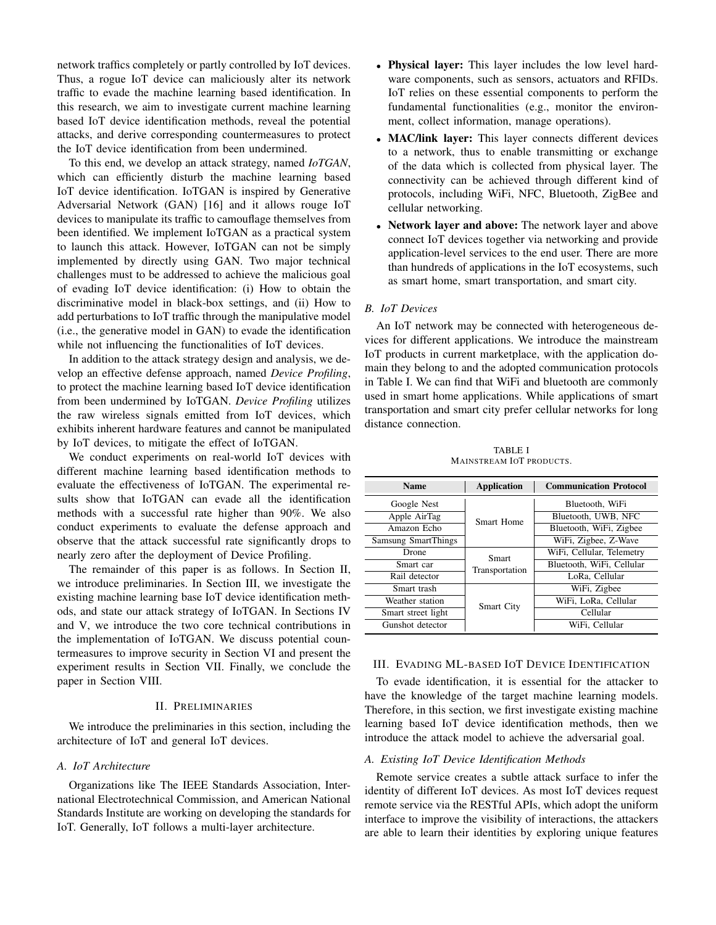network traffics completely or partly controlled by IoT devices. Thus, a rogue IoT device can maliciously alter its network traffic to evade the machine learning based identification. In this research, we aim to investigate current machine learning based IoT device identification methods, reveal the potential attacks, and derive corresponding countermeasures to protect the IoT device identification from been undermined.

To this end, we develop an attack strategy, named *IoTGAN*, which can efficiently disturb the machine learning based IoT device identification. IoTGAN is inspired by Generative Adversarial Network (GAN) [16] and it allows rouge IoT devices to manipulate its traffic to camouflage themselves from been identified. We implement IoTGAN as a practical system to launch this attack. However, IoTGAN can not be simply implemented by directly using GAN. Two major technical challenges must to be addressed to achieve the malicious goal of evading IoT device identification: (i) How to obtain the discriminative model in black-box settings, and (ii) How to add perturbations to IoT traffic through the manipulative model (i.e., the generative model in GAN) to evade the identification while not influencing the functionalities of IoT devices.

In addition to the attack strategy design and analysis, we develop an effective defense approach, named *Device Profiling*, to protect the machine learning based IoT device identification from been undermined by IoTGAN. *Device Profiling* utilizes the raw wireless signals emitted from IoT devices, which exhibits inherent hardware features and cannot be manipulated by IoT devices, to mitigate the effect of IoTGAN.

We conduct experiments on real-world IoT devices with different machine learning based identification methods to evaluate the effectiveness of IoTGAN. The experimental results show that IoTGAN can evade all the identification methods with a successful rate higher than 90%. We also conduct experiments to evaluate the defense approach and observe that the attack successful rate significantly drops to nearly zero after the deployment of Device Profiling.

The remainder of this paper is as follows. In Section II, we introduce preliminaries. In Section III, we investigate the existing machine learning base IoT device identification methods, and state our attack strategy of IoTGAN. In Sections IV and V, we introduce the two core technical contributions in the implementation of IoTGAN. We discuss potential countermeasures to improve security in Section VI and present the experiment results in Section VII. Finally, we conclude the paper in Section VIII.

#### II. PRELIMINARIES

We introduce the preliminaries in this section, including the architecture of IoT and general IoT devices.

# *A. IoT Architecture*

Organizations like The IEEE Standards Association, International Electrotechnical Commission, and American National Standards Institute are working on developing the standards for IoT. Generally, IoT follows a multi-layer architecture.

- *•* Physical layer: This layer includes the low level hardware components, such as sensors, actuators and RFIDs. IoT relies on these essential components to perform the fundamental functionalities (e.g., monitor the environment, collect information, manage operations).
- **MAC/link layer:** This layer connects different devices to a network, thus to enable transmitting or exchange of the data which is collected from physical layer. The connectivity can be achieved through different kind of protocols, including WiFi, NFC, Bluetooth, ZigBee and cellular networking.
- Network layer and above: The network layer and above connect IoT devices together via networking and provide application-level services to the end user. There are more than hundreds of applications in the IoT ecosystems, such as smart home, smart transportation, and smart city.

# *B. IoT Devices*

An IoT network may be connected with heterogeneous devices for different applications. We introduce the mainstream IoT products in current marketplace, with the application domain they belong to and the adopted communication protocols in Table I. We can find that WiFi and bluetooth are commonly used in smart home applications. While applications of smart transportation and smart city prefer cellular networks for long distance connection.

TABLE I MAINSTREAM IOT PRODUCTS.

| <b>Name</b>                | <b>Application</b> | <b>Communication Protocol</b> |  |  |  |
|----------------------------|--------------------|-------------------------------|--|--|--|
| Google Nest                |                    | Bluetooth, WiFi               |  |  |  |
| Apple AirTag               | Smart Home         | Bluetooth, UWB, NFC           |  |  |  |
| Amazon Echo                |                    | Bluetooth, WiFi, Zigbee       |  |  |  |
| <b>Samsung SmartThings</b> |                    | WiFi, Zigbee, Z-Wave          |  |  |  |
| Drone                      | Smart              | WiFi, Cellular, Telemetry     |  |  |  |
| Smart car                  | Transportation     | Bluetooth, WiFi, Cellular     |  |  |  |
| Rail detector              |                    | LoRa, Cellular                |  |  |  |
| Smart trash                |                    | WiFi, Zigbee                  |  |  |  |
| Weather station            | <b>Smart City</b>  | WiFi, LoRa, Cellular          |  |  |  |
| Smart street light         |                    | Cellular                      |  |  |  |
| Gunshot detector           |                    | WiFi, Cellular                |  |  |  |

#### III. EVADING ML-BASED IOT DEVICE IDENTIFICATION

To evade identification, it is essential for the attacker to have the knowledge of the target machine learning models. Therefore, in this section, we first investigate existing machine learning based IoT device identification methods, then we introduce the attack model to achieve the adversarial goal.

# *A. Existing IoT Device Identification Methods*

Remote service creates a subtle attack surface to infer the identity of different IoT devices. As most IoT devices request remote service via the RESTful APIs, which adopt the uniform interface to improve the visibility of interactions, the attackers are able to learn their identities by exploring unique features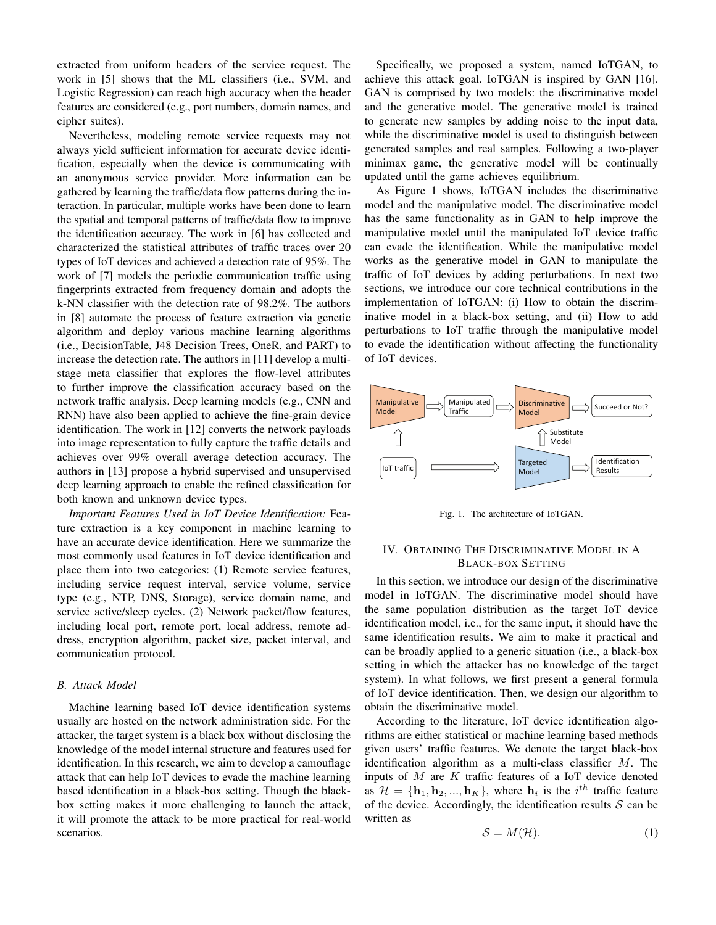extracted from uniform headers of the service request. The work in [5] shows that the ML classifiers (i.e., SVM, and Logistic Regression) can reach high accuracy when the header features are considered (e.g., port numbers, domain names, and cipher suites).

Nevertheless, modeling remote service requests may not always yield sufficient information for accurate device identification, especially when the device is communicating with an anonymous service provider. More information can be gathered by learning the traffic/data flow patterns during the interaction. In particular, multiple works have been done to learn the spatial and temporal patterns of traffic/data flow to improve the identification accuracy. The work in [6] has collected and characterized the statistical attributes of traffic traces over 20 types of IoT devices and achieved a detection rate of 95%. The work of [7] models the periodic communication traffic using fingerprints extracted from frequency domain and adopts the k-NN classifier with the detection rate of 98.2%. The authors in [8] automate the process of feature extraction via genetic algorithm and deploy various machine learning algorithms (i.e., DecisionTable, J48 Decision Trees, OneR, and PART) to increase the detection rate. The authors in [11] develop a multistage meta classifier that explores the flow-level attributes to further improve the classification accuracy based on the network traffic analysis. Deep learning models (e.g., CNN and RNN) have also been applied to achieve the fine-grain device identification. The work in [12] converts the network payloads into image representation to fully capture the traffic details and achieves over 99% overall average detection accuracy. The authors in [13] propose a hybrid supervised and unsupervised deep learning approach to enable the refined classification for both known and unknown device types.

*Important Features Used in IoT Device Identification:* Feature extraction is a key component in machine learning to have an accurate device identification. Here we summarize the most commonly used features in IoT device identification and place them into two categories: (1) Remote service features, including service request interval, service volume, service type (e.g., NTP, DNS, Storage), service domain name, and service active/sleep cycles. (2) Network packet/flow features, including local port, remote port, local address, remote address, encryption algorithm, packet size, packet interval, and communication protocol.

# *B. Attack Model*

Machine learning based IoT device identification systems usually are hosted on the network administration side. For the attacker, the target system is a black box without disclosing the knowledge of the model internal structure and features used for identification. In this research, we aim to develop a camouflage attack that can help IoT devices to evade the machine learning based identification in a black-box setting. Though the blackbox setting makes it more challenging to launch the attack, it will promote the attack to be more practical for real-world scenarios.

Specifically, we proposed a system, named IoTGAN, to achieve this attack goal. IoTGAN is inspired by GAN [16]. GAN is comprised by two models: the discriminative model and the generative model. The generative model is trained to generate new samples by adding noise to the input data, while the discriminative model is used to distinguish between generated samples and real samples. Following a two-player minimax game, the generative model will be continually updated until the game achieves equilibrium.

As Figure 1 shows, IoTGAN includes the discriminative model and the manipulative model. The discriminative model has the same functionality as in GAN to help improve the manipulative model until the manipulated IoT device traffic can evade the identification. While the manipulative model works as the generative model in GAN to manipulate the traffic of IoT devices by adding perturbations. In next two sections, we introduce our core technical contributions in the implementation of IoTGAN: (i) How to obtain the discriminative model in a black-box setting, and (ii) How to add perturbations to IoT traffic through the manipulative model to evade the identification without affecting the functionality of IoT devices.



Fig. 1. The architecture of IoTGAN.

# IV. OBTAINING THE DISCRIMINATIVE MODEL IN A BLACK-BOX SETTING

In this section, we introduce our design of the discriminative model in IoTGAN. The discriminative model should have the same population distribution as the target IoT device identification model, i.e., for the same input, it should have the same identification results. We aim to make it practical and can be broadly applied to a generic situation (i.e., a black-box setting in which the attacker has no knowledge of the target system). In what follows, we first present a general formula of IoT device identification. Then, we design our algorithm to obtain the discriminative model.

According to the literature, IoT device identification algorithms are either statistical or machine learning based methods given users' traffic features. We denote the target black-box identification algorithm as a multi-class classifier *M*. The inputs of *M* are *K* traffic features of a IoT device denoted as  $\mathcal{H} = {\mathbf{h}_1, \mathbf{h}_2, ..., \mathbf{h}_K}$ , where  $\mathbf{h}_i$  is the *i*<sup>th</sup> traffic feature of the device. Accordingly, the identification results *S* can be written as

$$
S = M(\mathcal{H}).\tag{1}
$$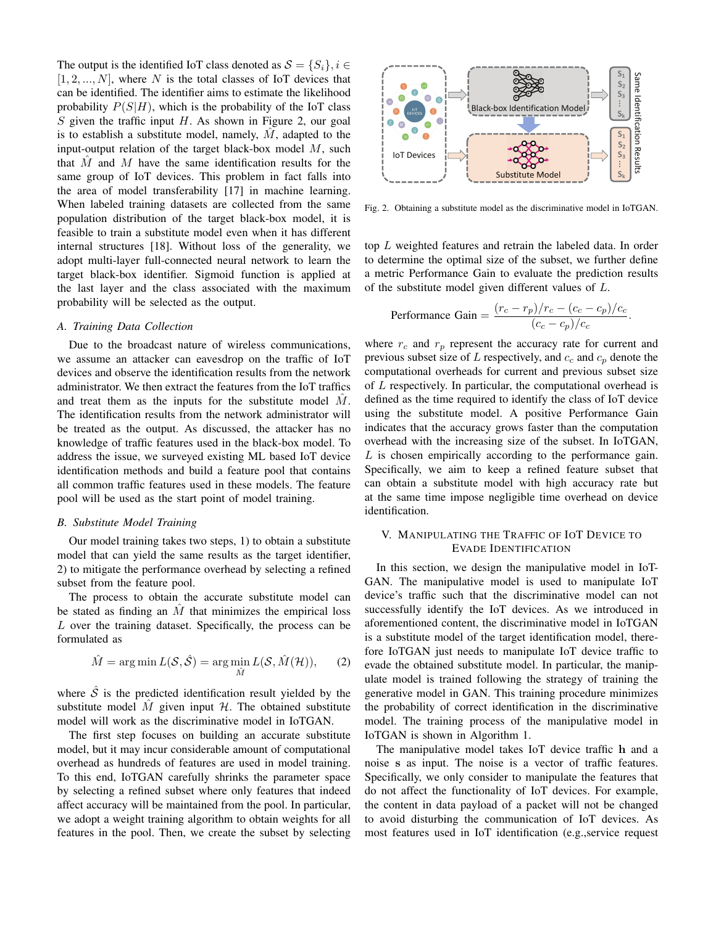The output is the identified IoT class denoted as  $S = \{S_i\}, i \in$  $[1, 2, ..., N]$ , where N is the total classes of IoT devices that can be identified. The identifier aims to estimate the likelihood probability  $P(S|H)$ , which is the probability of the IoT class *S* given the traffic input *H*. As shown in Figure 2, our goal is to establish a substitute model, namely,  $M$ , adapted to the input-output relation of the target black-box model *M*, such that *M*ˆ and *M* have the same identification results for the same group of IoT devices. This problem in fact falls into the area of model transferability [17] in machine learning. When labeled training datasets are collected from the same population distribution of the target black-box model, it is feasible to train a substitute model even when it has different internal structures [18]. Without loss of the generality, we adopt multi-layer full-connected neural network to learn the target black-box identifier. Sigmoid function is applied at the last layer and the class associated with the maximum probability will be selected as the output.

### *A. Training Data Collection*

Due to the broadcast nature of wireless communications, we assume an attacker can eavesdrop on the traffic of IoT devices and observe the identification results from the network administrator. We then extract the features from the IoT traffics and treat them as the inputs for the substitute model  $\dot{M}$ . The identification results from the network administrator will be treated as the output. As discussed, the attacker has no knowledge of traffic features used in the black-box model. To address the issue, we surveyed existing ML based IoT device identification methods and build a feature pool that contains all common traffic features used in these models. The feature pool will be used as the start point of model training.

#### *B. Substitute Model Training*

Our model training takes two steps, 1) to obtain a substitute model that can yield the same results as the target identifier, 2) to mitigate the performance overhead by selecting a refined subset from the feature pool.

The process to obtain the accurate substitute model can be stated as finding an  $\hat{M}$  that minimizes the empirical loss *L* over the training dataset. Specifically, the process can be formulated as

$$
\hat{M} = \arg\min L(\mathcal{S}, \hat{\mathcal{S}}) = \arg\min_{\hat{M}} L(\mathcal{S}, \hat{M}(\mathcal{H})), \qquad (2)
$$

where  $\hat{S}$  is the predicted identification result yielded by the substitute model  $\hat{M}$  given input  $\hat{\mathcal{H}}$ . The obtained substitute model will work as the discriminative model in IoTGAN.

The first step focuses on building an accurate substitute model, but it may incur considerable amount of computational overhead as hundreds of features are used in model training. To this end, IoTGAN carefully shrinks the parameter space by selecting a refined subset where only features that indeed affect accuracy will be maintained from the pool. In particular, we adopt a weight training algorithm to obtain weights for all features in the pool. Then, we create the subset by selecting



Fig. 2. Obtaining a substitute model as the discriminative model in IoTGAN.

top *L* weighted features and retrain the labeled data. In order to determine the optimal size of the subset, we further define a metric Performance Gain to evaluate the prediction results of the substitute model given different values of *L*.

Performance Gain = 
$$
\frac{(r_c - r_p)/r_c - (c_c - c_p)/c_c}{(c_c - c_p)/c_c}.
$$

where  $r_c$  and  $r_p$  represent the accuracy rate for current and previous subset size of *L* respectively, and *c<sup>c</sup>* and *c<sup>p</sup>* denote the computational overheads for current and previous subset size of *L* respectively. In particular, the computational overhead is defined as the time required to identify the class of IoT device using the substitute model. A positive Performance Gain indicates that the accuracy grows faster than the computation overhead with the increasing size of the subset. In IoTGAN, *L* is chosen empirically according to the performance gain. Specifically, we aim to keep a refined feature subset that can obtain a substitute model with high accuracy rate but at the same time impose negligible time overhead on device identification.

# V. MANIPULATING THE TRAFFIC OF IOT DEVICE TO EVADE IDENTIFICATION

In this section, we design the manipulative model in IoT-GAN. The manipulative model is used to manipulate IoT device's traffic such that the discriminative model can not successfully identify the IoT devices. As we introduced in aforementioned content, the discriminative model in IoTGAN is a substitute model of the target identification model, therefore IoTGAN just needs to manipulate IoT device traffic to evade the obtained substitute model. In particular, the manipulate model is trained following the strategy of training the generative model in GAN. This training procedure minimizes the probability of correct identification in the discriminative model. The training process of the manipulative model in IoTGAN is shown in Algorithm 1.

The manipulative model takes IoT device traffic h and a noise s as input. The noise is a vector of traffic features. Specifically, we only consider to manipulate the features that do not affect the functionality of IoT devices. For example, the content in data payload of a packet will not be changed to avoid disturbing the communication of IoT devices. As most features used in IoT identification (e.g.,service request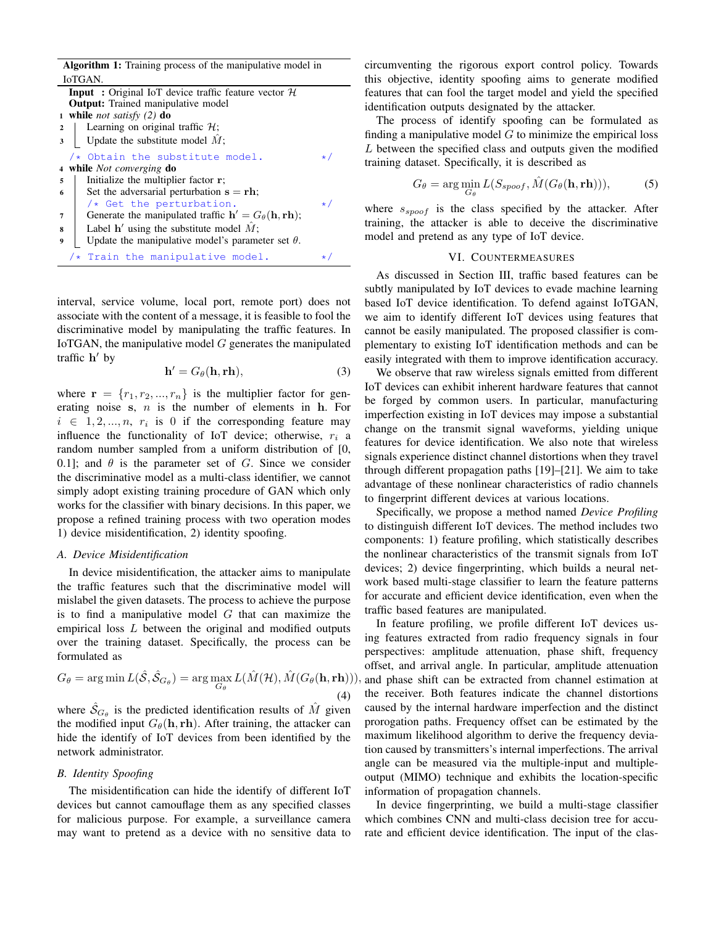| Algorithm 1: Training process of the manipulative model in                                 |                                                               |  |  |  |  |  |  |
|--------------------------------------------------------------------------------------------|---------------------------------------------------------------|--|--|--|--|--|--|
| IoTGAN.                                                                                    |                                                               |  |  |  |  |  |  |
|                                                                                            | <b>Input</b> : Original IoT device traffic feature vector $H$ |  |  |  |  |  |  |
| <b>Output:</b> Trained manipulative model                                                  |                                                               |  |  |  |  |  |  |
| 1 while <i>not satisfy</i> $(2)$ do                                                        |                                                               |  |  |  |  |  |  |
| Learning on original traffic $H$ ;<br>$\mathbf{2}$                                         |                                                               |  |  |  |  |  |  |
| Update the substitute model $\hat{M}$ ;                                                    |                                                               |  |  |  |  |  |  |
| /* Obtain the substitute model.                                                            | $\star$ /                                                     |  |  |  |  |  |  |
| while <i>Not converging</i> do<br>$\overline{4}$                                           |                                                               |  |  |  |  |  |  |
| Initialize the multiplier factor r;<br>5                                                   |                                                               |  |  |  |  |  |  |
| Set the adversarial perturbation $s = rh$ ;<br>6                                           |                                                               |  |  |  |  |  |  |
| $/*$ Get the perturbation.                                                                 | $\star$ /                                                     |  |  |  |  |  |  |
| Generate the manipulated traffic $h' = G_{\theta}(\mathbf{h}, \mathbf{r}\mathbf{h});$<br>7 |                                                               |  |  |  |  |  |  |
| Label $h'$ using the substitute model $\hat{M}$ ;<br>8                                     |                                                               |  |  |  |  |  |  |
| Update the manipulative model's parameter set $\theta$ .<br>9                              |                                                               |  |  |  |  |  |  |
| $/*$ Train the manipulative model.                                                         | $\star$                                                       |  |  |  |  |  |  |

interval, service volume, local port, remote port) does not associate with the content of a message, it is feasible to fool the discriminative model by manipulating the traffic features. In IoTGAN, the manipulative model *G* generates the manipulated traffic  $h'$  by

$$
\mathbf{h}' = G_{\theta}(\mathbf{h}, \mathbf{r}\mathbf{h}),\tag{3}
$$

where  $\mathbf{r} = \{r_1, r_2, ..., r_n\}$  is the multiplier factor for generating noise s, *n* is the number of elements in h. For  $i \in \{1, 2, ..., n, r_i \text{ is } 0 \text{ if the corresponding feature may } i \in \{1, 2, ..., n\}$ influence the functionality of IoT device; otherwise, *r<sup>i</sup>* a random number sampled from a uniform distribution of [0, 0.1]; and  $\theta$  is the parameter set of *G*. Since we consider the discriminative model as a multi-class identifier, we cannot simply adopt existing training procedure of GAN which only works for the classifier with binary decisions. In this paper, we propose a refined training process with two operation modes 1) device misidentification, 2) identity spoofing.

# *A. Device Misidentification*

In device misidentification, the attacker aims to manipulate the traffic features such that the discriminative model will mislabel the given datasets. The process to achieve the purpose is to find a manipulative model *G* that can maximize the empirical loss *L* between the original and modified outputs over the training dataset. Specifically, the process can be formulated as

$$
G_{\theta} = \arg\min L(\hat{\mathcal{S}}, \hat{\mathcal{S}}_{G_{\theta}}) = \arg\max_{G_{\theta}} L(\hat{M}(\mathcal{H}), \hat{M}(G_{\theta}(\mathbf{h}, \mathbf{rh}))),
$$
\n(4)

where  $\hat{S}_{G_{\theta}}$  is the predicted identification results of  $\hat{M}$  given the modified input  $G_{\theta}(\mathbf{h}, \mathbf{r}\mathbf{h})$ . After training, the attacker can hide the identify of IoT devices from been identified by the network administrator.

#### *B. Identity Spoofing*

The misidentification can hide the identify of different IoT devices but cannot camouflage them as any specified classes for malicious purpose. For example, a surveillance camera may want to pretend as a device with no sensitive data to circumventing the rigorous export control policy. Towards this objective, identity spoofing aims to generate modified features that can fool the target model and yield the specified identification outputs designated by the attacker.

The process of identify spoofing can be formulated as finding a manipulative model  $G$  to minimize the empirical loss *L* between the specified class and outputs given the modified training dataset. Specifically, it is described as

$$
G_{\theta} = \arg\min_{G_{\theta}} L(S_{spoof}, \hat{M}(G_{\theta}(\mathbf{h}, \mathbf{rh}))), \tag{5}
$$

where *sspoof* is the class specified by the attacker. After training, the attacker is able to deceive the discriminative model and pretend as any type of IoT device.

# VI. COUNTERMEASURES

As discussed in Section III, traffic based features can be subtly manipulated by IoT devices to evade machine learning based IoT device identification. To defend against IoTGAN, we aim to identify different IoT devices using features that cannot be easily manipulated. The proposed classifier is complementary to existing IoT identification methods and can be easily integrated with them to improve identification accuracy.

We observe that raw wireless signals emitted from different IoT devices can exhibit inherent hardware features that cannot be forged by common users. In particular, manufacturing imperfection existing in IoT devices may impose a substantial change on the transmit signal waveforms, yielding unique features for device identification. We also note that wireless signals experience distinct channel distortions when they travel through different propagation paths [19]–[21]. We aim to take advantage of these nonlinear characteristics of radio channels to fingerprint different devices at various locations.

Specifically, we propose a method named *Device Profiling* to distinguish different IoT devices. The method includes two components: 1) feature profiling, which statistically describes the nonlinear characteristics of the transmit signals from IoT devices; 2) device fingerprinting, which builds a neural network based multi-stage classifier to learn the feature patterns for accurate and efficient device identification, even when the traffic based features are manipulated.

In feature profiling, we profile different IoT devices using features extracted from radio frequency signals in four perspectives: amplitude attenuation, phase shift, frequency offset, and arrival angle. In particular, amplitude attenuation and phase shift can be extracted from channel estimation at the receiver. Both features indicate the channel distortions caused by the internal hardware imperfection and the distinct prorogation paths. Frequency offset can be estimated by the maximum likelihood algorithm to derive the frequency deviation caused by transmitters's internal imperfections. The arrival angle can be measured via the multiple-input and multipleoutput (MIMO) technique and exhibits the location-specific information of propagation channels.

In device fingerprinting, we build a multi-stage classifier which combines CNN and multi-class decision tree for accurate and efficient device identification. The input of the clas-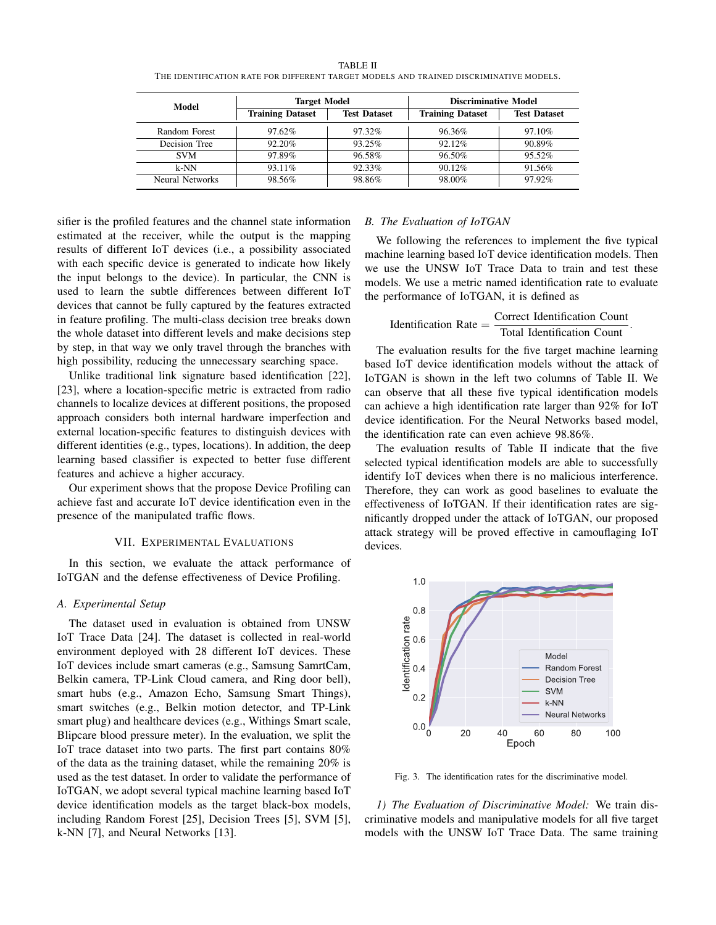| Model           | <b>Target Model</b>     |                     | <b>Discriminative Model</b> |                     |  |  |
|-----------------|-------------------------|---------------------|-----------------------------|---------------------|--|--|
|                 | <b>Training Dataset</b> | <b>Test Dataset</b> | <b>Training Dataset</b>     | <b>Test Dataset</b> |  |  |
| Random Forest   | 97.62%                  | 97.32%              | 96.36%                      | 97.10%              |  |  |
| Decision Tree   | 92.20%                  | 93.25%              | 92.12%                      | 90.89%              |  |  |
| <b>SVM</b>      | 97.89%                  | 96.58%              | 96.50%                      | 95.52%              |  |  |
| $k-NN$          | 93.11%                  | 92.33%              | 90.12%                      | 91.56%              |  |  |
| Neural Networks | 98.56%                  | 98.86%              | 98.00%                      | 97.92%              |  |  |

TABLE II THE IDENTIFICATION RATE FOR DIFFERENT TARGET MODELS AND TRAINED DISCRIMINATIVE MODELS.

sifier is the profiled features and the channel state information estimated at the receiver, while the output is the mapping results of different IoT devices (i.e., a possibility associated with each specific device is generated to indicate how likely the input belongs to the device). In particular, the CNN is used to learn the subtle differences between different IoT devices that cannot be fully captured by the features extracted in feature profiling. The multi-class decision tree breaks down the whole dataset into different levels and make decisions step by step, in that way we only travel through the branches with high possibility, reducing the unnecessary searching space.

Unlike traditional link signature based identification [22], [23], where a location-specific metric is extracted from radio channels to localize devices at different positions, the proposed approach considers both internal hardware imperfection and external location-specific features to distinguish devices with different identities (e.g., types, locations). In addition, the deep learning based classifier is expected to better fuse different features and achieve a higher accuracy.

Our experiment shows that the propose Device Profiling can achieve fast and accurate IoT device identification even in the presence of the manipulated traffic flows.

#### VII. EXPERIMENTAL EVALUATIONS

In this section, we evaluate the attack performance of IoTGAN and the defense effectiveness of Device Profiling.

# *A. Experimental Setup*

The dataset used in evaluation is obtained from UNSW IoT Trace Data [24]. The dataset is collected in real-world environment deployed with 28 different IoT devices. These IoT devices include smart cameras (e.g., Samsung SamrtCam, Belkin camera, TP-Link Cloud camera, and Ring door bell), smart hubs (e.g., Amazon Echo, Samsung Smart Things), smart switches (e.g., Belkin motion detector, and TP-Link smart plug) and healthcare devices (e.g., Withings Smart scale, Blipcare blood pressure meter). In the evaluation, we split the IoT trace dataset into two parts. The first part contains 80% of the data as the training dataset, while the remaining 20% is used as the test dataset. In order to validate the performance of IoTGAN, we adopt several typical machine learning based IoT device identification models as the target black-box models, including Random Forest [25], Decision Trees [5], SVM [5], k-NN [7], and Neural Networks [13].

#### *B. The Evaluation of IoTGAN*

We following the references to implement the five typical machine learning based IoT device identification models. Then we use the UNSW IoT Trace Data to train and test these models. We use a metric named identification rate to evaluate the performance of IoTGAN, it is defined as

Identification Rate  $=$   $\frac{\text{Correct Identification Count}}{\text{Total Identification Count}}$ .

The evaluation results for the five target machine learning based IoT device identification models without the attack of IoTGAN is shown in the left two columns of Table II. We can observe that all these five typical identification models can achieve a high identification rate larger than 92% for IoT device identification. For the Neural Networks based model, the identification rate can even achieve 98.86%.

The evaluation results of Table II indicate that the five selected typical identification models are able to successfully identify IoT devices when there is no malicious interference. Therefore, they can work as good baselines to evaluate the effectiveness of IoTGAN. If their identification rates are significantly dropped under the attack of IoTGAN, our proposed attack strategy will be proved effective in camouflaging IoT devices.



Fig. 3. The identification rates for the discriminative model.

*1) The Evaluation of Discriminative Model:* We train discriminative models and manipulative models for all five target models with the UNSW IoT Trace Data. The same training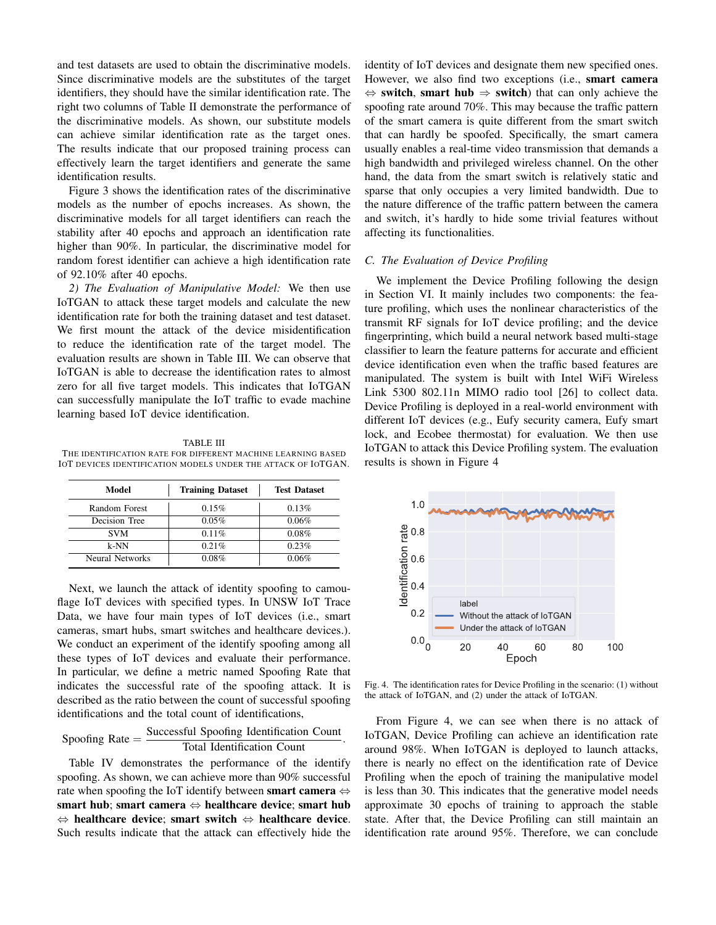and test datasets are used to obtain the discriminative models. Since discriminative models are the substitutes of the target identifiers, they should have the similar identification rate. The right two columns of Table II demonstrate the performance of the discriminative models. As shown, our substitute models can achieve similar identification rate as the target ones. The results indicate that our proposed training process can effectively learn the target identifiers and generate the same identification results.

Figure 3 shows the identification rates of the discriminative models as the number of epochs increases. As shown, the discriminative models for all target identifiers can reach the stability after 40 epochs and approach an identification rate higher than 90%. In particular, the discriminative model for random forest identifier can achieve a high identification rate of 92.10% after 40 epochs.

*2) The Evaluation of Manipulative Model:* We then use IoTGAN to attack these target models and calculate the new identification rate for both the training dataset and test dataset. We first mount the attack of the device misidentification to reduce the identification rate of the target model. The evaluation results are shown in Table III. We can observe that IoTGAN is able to decrease the identification rates to almost zero for all five target models. This indicates that IoTGAN can successfully manipulate the IoT traffic to evade machine learning based IoT device identification.

TABLE III THE IDENTIFICATION RATE FOR DIFFERENT MACHINE LEARNING BASED IOT DEVICES IDENTIFICATION MODELS UNDER THE ATTACK OF IOTGAN.

| Model           | <b>Training Dataset</b> | <b>Test Dataset</b> |  |  |
|-----------------|-------------------------|---------------------|--|--|
| Random Forest   | 0.15%                   | 0.13%               |  |  |
| Decision Tree   | 0.05%                   | 0.06%               |  |  |
| <b>SVM</b>      | $0.11\%$                | $0.08\%$            |  |  |
| $k-NN$          | 0.21%                   | 0.23%               |  |  |
| Neural Networks | 0.08%                   | 0.06%               |  |  |

Next, we launch the attack of identity spoofing to camouflage IoT devices with specified types. In UNSW IoT Trace Data, we have four main types of IoT devices (i.e., smart cameras, smart hubs, smart switches and healthcare devices.). We conduct an experiment of the identify spoofing among all these types of IoT devices and evaluate their performance. In particular, we define a metric named Spoofing Rate that indicates the successful rate of the spoofing attack. It is described as the ratio between the count of successful spoofing identifications and the total count of identifications,

$$
Spoofing Rate = \frac{Successful Spoofing Identification Count}{Total Identification Count}.
$$

Table IV demonstrates the performance of the identify spoofing. As shown, we can achieve more than 90% successful rate when spoofing the IoT identify between smart camera  $\Leftrightarrow$ smart hub; smart camera  $\Leftrightarrow$  healthcare device; smart hub  $\Leftrightarrow$  healthcare device; smart switch  $\Leftrightarrow$  healthcare device. Such results indicate that the attack can effectively hide the identity of IoT devices and designate them new specified ones. However, we also find two exceptions (i.e., smart camera  $\Leftrightarrow$  switch, smart hub  $\Rightarrow$  switch) that can only achieve the spoofing rate around 70%. This may because the traffic pattern of the smart camera is quite different from the smart switch that can hardly be spoofed. Specifically, the smart camera usually enables a real-time video transmission that demands a high bandwidth and privileged wireless channel. On the other hand, the data from the smart switch is relatively static and sparse that only occupies a very limited bandwidth. Due to the nature difference of the traffic pattern between the camera and switch, it's hardly to hide some trivial features without affecting its functionalities.

#### *C. The Evaluation of Device Profiling*

We implement the Device Profiling following the design in Section VI. It mainly includes two components: the feature profiling, which uses the nonlinear characteristics of the transmit RF signals for IoT device profiling; and the device fingerprinting, which build a neural network based multi-stage classifier to learn the feature patterns for accurate and efficient device identification even when the traffic based features are manipulated. The system is built with Intel WiFi Wireless Link 5300 802.11n MIMO radio tool [26] to collect data. Device Profiling is deployed in a real-world environment with different IoT devices (e.g., Eufy security camera, Eufy smart lock, and Ecobee thermostat) for evaluation. We then use IoTGAN to attack this Device Profiling system. The evaluation results is shown in Figure 4



Fig. 4. The identification rates for Device Profiling in the scenario: (1) without the attack of IoTGAN, and (2) under the attack of IoTGAN.

From Figure 4, we can see when there is no attack of IoTGAN, Device Profiling can achieve an identification rate around 98%. When IoTGAN is deployed to launch attacks, there is nearly no effect on the identification rate of Device Profiling when the epoch of training the manipulative model is less than 30. This indicates that the generative model needs approximate 30 epochs of training to approach the stable state. After that, the Device Profiling can still maintain an identification rate around 95%. Therefore, we can conclude